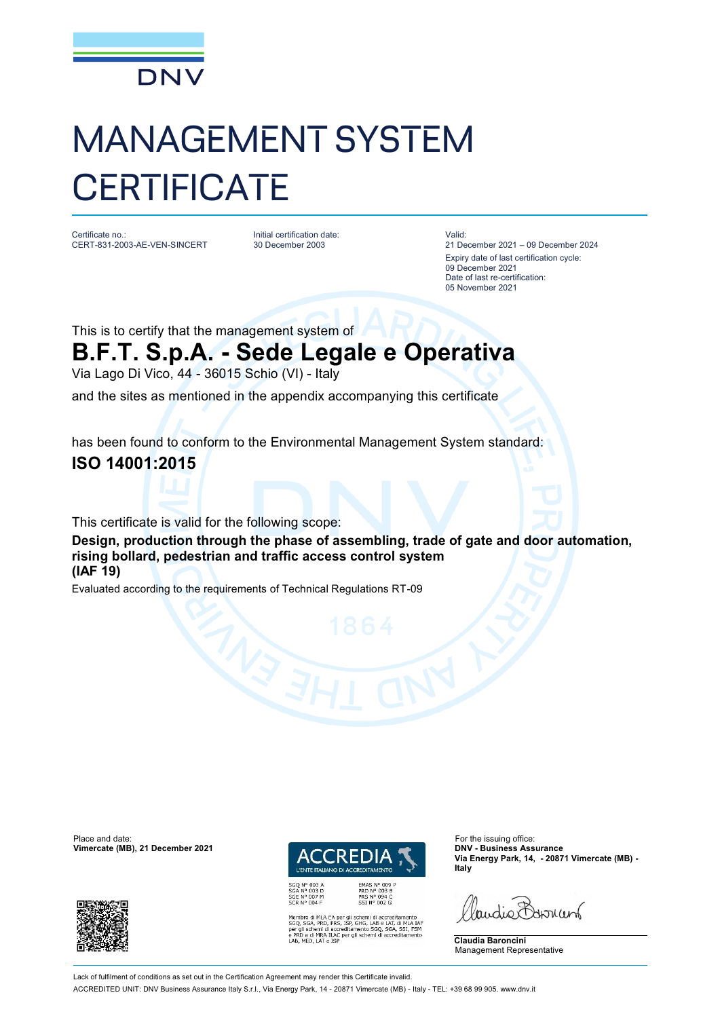

## MANAGEMENT SYSTEM **CERTIFICATE**

Certificate no.: CERT-831-2003-AE-VEN-SINCERT Initial certification date: 30 December 2003

Valid:

21 December 2021 – 09 December 2024 Expiry date of last certification cycle: 09 December 2021 Date of last re-certification: 05 November 2021

This is to certify that the management system of

## **B.F.T. S.p.A. - Sede Legale e Operativa**

Via Lago Di Vico, 44 - 36015 Schio (VI) - Italy

and the sites as mentioned in the appendix accompanying this certificate

has been found to conform to the Environmental Management System standard:

**ISO 14001:2015**

This certificate is valid for the following scope:

**Design, production through the phase of assembling, trade of gate and door automation, rising bollard, pedestrian and traffic access control system (IAF 19)**

Evaluated according to the requirements of Technical Regulations RT-09

Place and date: For the issuing office:<br>
Vimercate (MB), 21 December 2021 **1999** COLORED LA TERNA DNV - Business Assurance **Vimercate (MB), 21 December 2021** 





EMAS N° 009 P<br>PRD N° 003 B<br>PRS N° 094 C<br>SSI N° 002 G MLA EA per gli schemi di accreditamento<br>PRD, PRS, ISP, GHG, LAB e LAT, di MLA IAF<br>emi di accreditamento SGQ, SGA, SSI, FSM<br>MRA ILAC per gli schemi di accreditamento<br>LAT e ISP **Via Energy Park, 14, - 20871 Vimercate (MB) - Italy**

audie Barnant

**Claudia Baroncini** Management Representative

Lack of fulfilment of conditions as set out in the Certification Agreement may render this Certificate invalid. ACCREDITED UNIT: DNV Business Assurance Italy S.r.l., Via Energy Park, 14 - 20871 Vimercate (MB) - Italy - TEL: +39 68 99 905. [www.dnv.it](http://www.dnv.it)